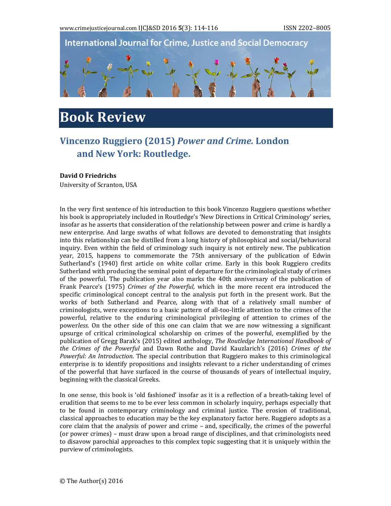

## **Book Review**

## **Vincenzo Ruggiero (2015)** *Power and Crime.* **London and New York: Routledge.**

## **David O Friedrichs**

University of Scranton, USA

In the very first sentence of his introduction to this book Vincenzo Ruggiero questions whether his book is appropriately included in Routledge's 'New Directions in Critical Criminology' series, insofar as he asserts that consideration of the relationship between power and crime is hardly a new enterprise. And large swaths of what follows are devoted to demonstrating that insights into this relationship can be distilled from a long history of philosophical and social/behavioral inquiry. Even within the field of criminology such inquiry is not entirely new. The publication year, 2015, happens to commemorate the 75th anniversary of the publication of Edwin Sutherland's (1940) first article on white collar crime. Early in this book Ruggiero credits Sutherland with producing the seminal point of departure for the criminological study of crimes of the powerful. The publication year also marks the 40th anniversary of the publication of Frank Pearce's (1975) *Crimes of the Powerful*, which in the more recent era introduced the specific criminological concept central to the analysis put forth in the present work. But the works of both Sutherland and Pearce, along with that of a relatively small number of criminologists, were exceptions to a basic pattern of all-too-little attention to the crimes of the powerful, relative to the enduring criminological privileging of attention to crimes of the powerless. On the other side of this one can claim that we are now witnessing a significant upsurge of critical criminological scholarship on crimes of the powerful, exemplified by the publication of Gregg Barak's (2015) edited anthology, *The Routledge International Handbook of the Crimes of the Powerful* and Dawn Rothe and David Kauzlarich's (2016) *Crimes of the Powerful: An Introduction*. The special contribution that Ruggiero makes to this criminological enterprise is to identify propositions and insights relevant to a richer understanding of crimes of the powerful that have surfaced in the course of thousands of years of intellectual inquiry, beginning with the classical Greeks.

In one sense, this book is 'old fashioned' insofar as it is a reflection of a breath-taking level of erudition that seems to me to be ever less common in scholarly inquiry, perhaps especially that to be found in contemporary criminology and criminal justice. The erosion of traditional, classical approaches to education may be the key explanatory factor here. Ruggiero adopts as a core claim that the analysis of power and crime – and, specifically, the crimes of the powerful (or power crimes) – must draw upon a broad range of disciplines, and that criminologists need to disavow parochial approaches to this complex topic suggesting that it is uniquely within the purview of criminologists.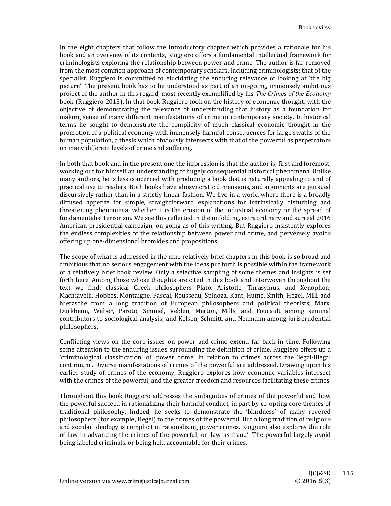In the eight chapters that follow the introductory chapter which provides a rationale for his book and an overview of its contents, Ruggiero offers a fundamental intellectual framework for criminologists exploring the relationship between power and crime. The author is far removed from the most common approach of contemporary scholars, including criminologists: that of the specialist. Ruggiero is committed to elucidating the enduring relevance of looking at 'the big picture'. The present book has to be understood as part of an on-going, immensely ambitious project of the author in this regard, most recently exemplified by his *The Crimes of the Economy* book (Ruggiero 2013). In that book Ruggiero took on the history of economic thought, with the objective of demonstrating the relevance of understanding that history as a foundation for making sense of many different manifestations of crime in contemporary society. In historical terms he sought to demonstrate the complicity of much classical economic thought in the promotion of a political economy with immensely harmful consequences for large swaths of the human population, a thesis which obviously intersects with that of the powerful as perpetrators on many different levels of crime and suffering.

In both that book and in the present one the impression is that the author is, first and foremost, working out for himself an understanding of hugely consequential historical phenomena. Unlike many authors, he is less concerned with producing a book that is naturally appealing to and of practical use to readers. Both books have idiosyncratic dimensions, and arguments are pursued discursively rather than in a strictly linear fashion. We live in a world where there is a broadly diffused appetite for simple, straightforward explanations for intrinsically disturbing and threatening phenomena, whether it is the erosion of the industrial economy or the spread of fundamentalist terrorism. We see this reflected in the unfolding, extraordinary and surreal 2016 American presidential campaign, on-going as of this writing. But Ruggiero insistently explores the endless complexities of the relationship between power and crime, and perversely avoids offering up one-dimensional bromides and propositions.

The scope of what is addressed in the nine relatively brief chapters in this book is so broad and ambitious that no serious engagement with the ideas put forth is possible within the framework of a relatively brief book review. Only a selective sampling of some themes and insights is set forth here. Among those whose thoughts are cited in this book and interwoven throughout the text we find: classical Greek philosophers Plato, Aristotle, Thrasymus, and Xenophon; Machiavelli, Hobbes, Montaigne, Pascal, Rousseau, Spinoza, Kant, Hume, Smith, Hegel, Mill, and Nietzsche from a long tradition of European philosophers and political theorists; Marx, Durkheim, Weber, Pareto, Simmel, Veblen, Merton, Mills, and Foucault among seminal contributors to sociological analysis; and Kelsen, Schmitt, and Neumann among jurisprudential philosophers. 

Conflicting views on the core issues on power and crime extend far back in time. Following some attention to the enduring issues surrounding the definition of crime, Ruggiero offers up a 'criminological classification' of 'power crime' in relation to crimes across the 'legal‐illegal continuum'. Diverse manifestations of crimes of the powerful are addressed. Drawing upon his earlier study of crimes of the economy, Ruggiero explores how economic variables intersect with the crimes of the powerful, and the greater freedom and resources facilitating these crimes.

Throughout this book Ruggiero addresses the ambiguities of crimes of the powerful and how the powerful succeed in rationalizing their harmful conduct, in part by co-opting core themes of traditional philosophy. Indeed, he seeks to demonstrate the 'blindness' of many revered philosophers (for example, Hegel) to the crimes of the powerful. But a long tradition of religious and secular ideology is complicit in rationalizing power crimes. Ruggiero also explores the role of law in advancing the crimes of the powerful, or 'law as fraud'. The powerful largely avoid being labeled criminals, or being held accountable for their crimes.